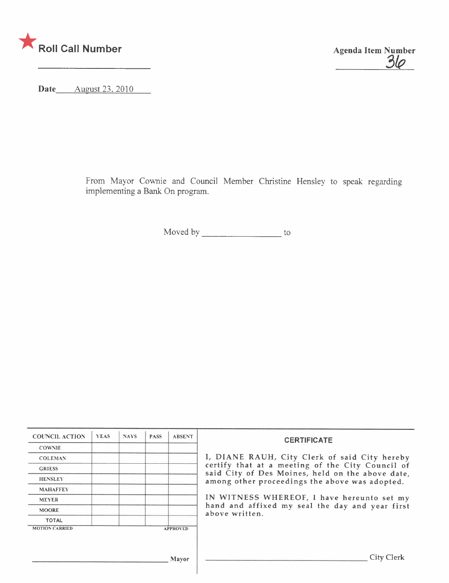

Agenda Item Number

Date August 23, 2010

From Mayor Cownie and Council Member Christine Hensley to speak regarding implementing a Bank On program.

Moved by to

| <b>COUNCIL ACTION</b> | <b>YEAS</b> | <b>NAYS</b> | <b>PASS</b> | <b>ABSENT</b>   | <b>CERTIFICATE</b>                                                                                                                                                                                      |  |  |
|-----------------------|-------------|-------------|-------------|-----------------|---------------------------------------------------------------------------------------------------------------------------------------------------------------------------------------------------------|--|--|
| <b>COWNIE</b>         |             |             |             |                 |                                                                                                                                                                                                         |  |  |
| <b>COLEMAN</b>        |             |             |             |                 | I, DIANE RAUH, City Clerk of said City hereby<br>certify that at a meeting of the City Council of<br>said City of Des Moines, held on the above date,<br>among other proceedings the above was adopted. |  |  |
| <b>GRIESS</b>         |             |             |             |                 |                                                                                                                                                                                                         |  |  |
| <b>HENSLEY</b>        |             |             |             |                 |                                                                                                                                                                                                         |  |  |
| <b>MAHAFFEY</b>       |             |             |             |                 | IN WITNESS WHEREOF, I have hereunto set my<br>hand and affixed my seal the day and year first<br>above written.                                                                                         |  |  |
| <b>MEYER</b>          |             |             |             |                 |                                                                                                                                                                                                         |  |  |
| <b>MOORE</b>          |             |             |             |                 |                                                                                                                                                                                                         |  |  |
| <b>TOTAL</b>          |             |             |             |                 |                                                                                                                                                                                                         |  |  |
| <b>MOTION CARRIED</b> |             |             |             | <b>APPROVED</b> |                                                                                                                                                                                                         |  |  |
|                       |             |             |             |                 |                                                                                                                                                                                                         |  |  |
|                       |             |             |             |                 |                                                                                                                                                                                                         |  |  |
| Mayor                 |             |             |             |                 | City Clerk                                                                                                                                                                                              |  |  |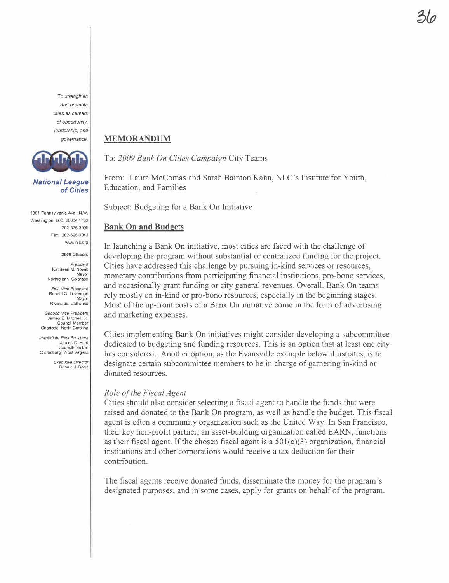To strengthen and promote cities as centers of opportunity. leadership. and governance.



National League of Cities

1301 Pennsylvania Ave., N.W. Washington, D.C. 20004-1763 202-626-3000 Fax: 202-626-3043 ww.nlc.org

2009 Officers

President Kathleen M. Novak Mayor Northglenn. Colorado

First Vice President Ronald O. Loveridge Mayor

Riverside. California Second Vice President

James E. Mitchell, Jr. Council Member Charlotte, North Carolina

Immediate Past President James C. Hunt Councilmember Clarksburg, West Virginia

Executive Director Donald J. Borut

### **MEMORANDUM**

To: 2009 Bank On Cities Campaign City Teams

From: Laura McComas and Sarah Bainton Kahn, NLC's Institute for Youth, Education, and Families

Subject: Budgeting for a Bank On Initiative

### **Bank On and Budgets**

In launching a Bank On initiative, most cities are faced with the challenge of developing the program without substantial or centralized fuding for the project. Cities have addressed this challenge by pursuing in-kind services or resources, monetary contrbutions from participating financial institutions, pro-bono services, and occasionally grant funding or city general revenues. Overall, Bank On teams rely mostly on in-kind or pro-bono resources. especially in the beginning stages. Most of the up-front costs of a Bank On initiative come in the form of advertising and marketing expenses.

Cities implementing Bank On initiatives might consider developing a subcommittee dedicated to budgeting and funding resources. This is an option that at least one city has considered. Another option, as the Evansville example below illustrates, is to designate certain subcommittee members to be in charge of gamering in-kind or donated resources.

#### Role of the Fiscal Agent

Cities should also consider selecting a fiscal agent to handle the funds that were raised and donated to the Bank On program, as well as handle the budget. This fiscal agent is often a community organization such as the United Way. In San Francisco, their key non-profit partner, an asset-building organization called EARN, functions as their fiscal agent. If the chosen fiscal agent is a  $501(c)(3)$  organization, financial institutions and other corporations would receive a tax deduction for their contribution.

The fiscal agents receive donated funds, disseminate the money for the program's designated purposes, and in some cases, apply for grants on behalf of the program.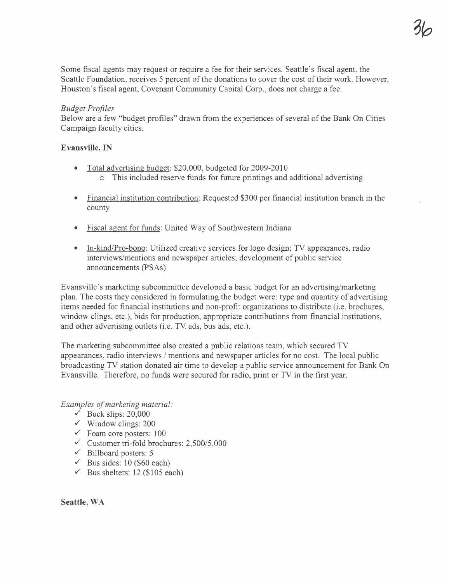Some fiscal agents may request or require a fee for their services. Seattle's fiscal agent, the Seattle Foundation, receives 5 percent of the donations to cover the cost of their work. However, Houston's fiscal agent, Covenant Community Capital Corp., does not charge a fee.

### Budget Profiles

Below are a few "budget profiles" drawn from the experiences of several of the Bank On Cities Campaign faculty cities.

### Evansvile, IN

- Total advertising budget: \$20,000, budgeted for 2009-2010 o This included reserve funds for future printings and additional advertising.
- · Financial institution contribution: Requested \$300 per financial institution branch in the county
- Fiscal agent for funds: United Way of Southwestern Indiana
- In-kind/Pro-bono: Utilized creative services for logo design; TV appearances, radio interviews/mentions and newspaper articles; development of public service anouncements (PSAs)

Evansville's marketing subcommittee developed a basic budget for an advertising/marketing plan. The costs they considered in formulating the budget were: type and quantity of advertising items needed for financial institutions and non-profit organizations to distribute (i.e. brochures, window clings, etc.), bids for production, appropriate contributions from financial institutions, and other advertising outlets (i.e. TV ads, bus ads, etc.).

The marketing subcommittee also created a public relations team, which secured TV appearances, radio interviews / mentions and newspaper articles for no cost. The local public broadcasting TV station donated air time to develop a public service announcement for Bank On Evansville. Therefore, no fuds were secured for radio, print or TV in the first year.

Examples of marketing material:

- $\checkmark$  Buck slips: 20,000
- $\checkmark$  Window clings: 200
- $\checkmark$  Foam core posters: 100
- $\checkmark$  Customer tri-fold brochures: 2,500/5,000
- $\checkmark$  Billboard posters: 5
- $\checkmark$  Bus sides: 10 (\$60 each)
- $\checkmark$  Bus shelters: 12 (\$105 each)

Seattle, WA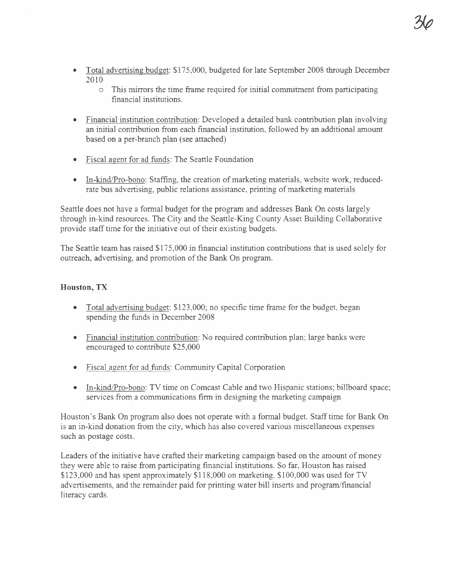- Total advertising budget: \$175,000, budgeted for late September 2008 through December 2010
	- $\circ$  This mirrors the time frame required for initial commitment from participating financial institutions.
- Financial institution contribution: Developed a detailed bank contribution plan involving an initial contrbution from each financial institution, followed by an additional amount based on a per-branch plan (see attached)
- Fiscal agent for ad funds: The Seattle Foundation
- . In-kIndlPro-bono: Staffing, the creation of marketing materials, website work, reducedrate bus advertising, public relations assistance, printing of marketing materials

Seattle does not have a formal budget for the program and addresses Bank On costs largely through in-kind resources. The City and the Seattle-King County Asset Building Collaborative provide stafftime for the initiative out of their existing budgets.

The Seattle team has raised \$175,000 in financial institution contrbutions that is used solely for outreach, advertising, and promotion of the Bank On program.

### Houston, TX

- Total advertising budget:  $$123,000$ ; no specific time frame for the budget, began spending the funds in December 2008
- . Financial institution contrbution: No required contribution plan; large banks were encouraged to contribute \$25,000
- Fiscal agent for ad funds: Community Capital Corporation
- . In-kIndlPro-bono: TV time on Comcast Cable and two Hispanic stations; billboard space; services from a communications firm in designing the marketing campaign

Houston's Bank On program also does not operate with a formal budget. Staff time for Bank On is an in-kind donation from the city, which has also covered various miscellaneous expenses such as postage costs.

Leaders of the initiative have crafted their marketing campaign based on the amount of money they were able to raise from participating financial institutions. So far, Houston has raised \$123,000 and has spent approximately \$118,000 on marketing. \$100,000 was used for TV advertisements, and the remainder paid for printing water bill inserts and program/financial literacy cards.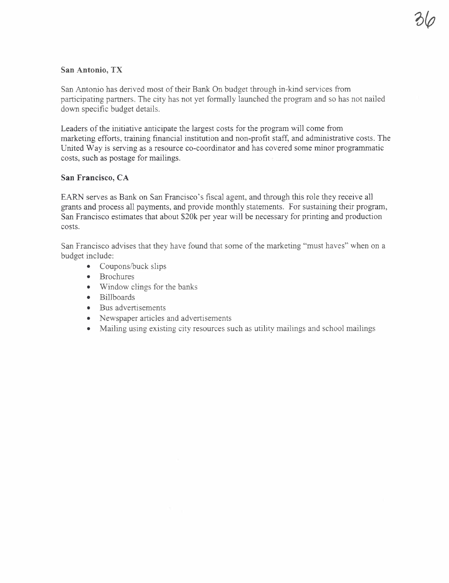## San Antonio, TX

San Antonio has derived most of their Bank On budget through in-kind services from participating partners. The city has not yet formally launched the program and so has not nailed down specific budget details.

Leaders of the initiative anticipate the largest costs for the program will come from marketing efforts, training financial institution and non-profit staff, and administrative costs. The United Way is serving as a resource co-coordinator and has covered some minor programmatic costs, such as postage for mailings.

# San Francisco, CA

EARN serves as Bank on San Francisco's fiscal agent, and through this role they receive all grants and process all payments, and provide monthly statements. For sustaining their program, San Francisco estimates that about \$20k per year will be necessary for printing and production costs.

San Francisco advises that they have found that some of the marketing "must haves" when on a budget include:

- $\bullet$  Coupons/buck slips
- . Brochures
- . Window clings for the banks
- . Billboards
- . Bus advertisements
- . Newspaper articles and advertisements
- . Mailing using existing city resources such as utility mailings and school mailings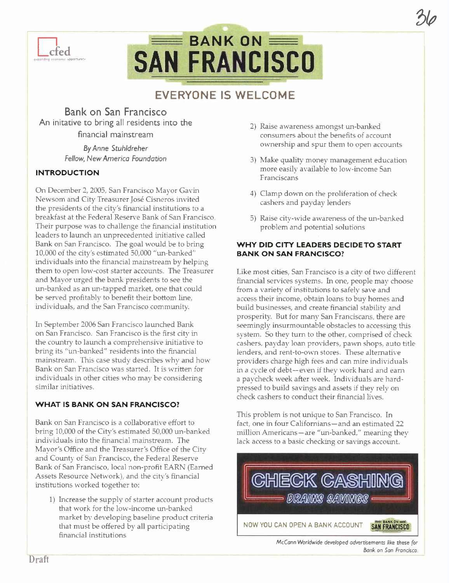

# $\equiv$  BANK ON  $\equiv$ **SAN FRANCISCO**

# EVERYONE IS WELCOME

Bank on San Francisco An initative to bring all residents into the financial mainstream By Anne Stuhldreher Fellow, New America Foundation

# INTRODUCTION

On December 2, 2005, San Francisco Mayor Gavin Newsom and City Treasurer José Cisneros invited the presidents of the city's financial institutions to a breakfast at the Federal Reserve Bank of San Francisco. Their purpose was to challenge the financial institution leaders to launch an unprecedented initiative called Bank on San Francisco. The goal would be to bring 10,000 of the city's estimated 50,000 "wi-banked" individuals into the financial mainstream by helping them to open low-cost starter accounts. The Treasurer and Mayor urged the bank presidents to see the un-banked as an un-tapped market, one that could be served profitably to benefit their bottom line, individuals, and the San Francisco community.

In September 2006 San Francisco launched Bank on San Francisco. San Francisco is the first city in the country to launch a comprehensive initiative to bring its "un-banked" residents into the financial mainstream. This case study describes why and how Bank on San Francisco was started. It is written for individuals in other cities who may be considering similar initiatives.

### WHAT IS BANK ON SAN FRANCISCO?

Bank on San Francisco is a collaborative effort to bring 10,000 of the City's estimated 50,000 un-banked individuals into the financial mainstream. The Mayor's Office and the Treasurer's Office of the City and County of San Francisco, the Federal Reserve Bank of San Francisco, local non-profit EARN (Earned Assets Resource Network), and the city's financial institutions vvorked together to:

1) Increase the supply of starter account products that work for the low-income un-banked market by developing baseline product criteria that must be offered by all participating financial institutions

2) Raise awareness amongst un-banked consumers about the benefits of account ownership and spur them to open accounts '?1ø

- 3) Make quality money management education more easily available to low-income San Franciscans
- 4) Clamp dovm on the proliferation of check cashers and payday lenders
- 5) Raise city-wide awareness of the un-banked problem and potential solutions

### WHY DID CITY LEADERS DECIDE TO START BANK ON SAN FRANCISCO?

Like most cities, San Francisco is a city of two different financial services systems. In one, people may choose from a variety of institutions to safely save and access their income, obtain loans to buy homes and build businesses, and create financial stability and prosperity. But for many San Franciscans, there are seemingly insurmountable obstacles to accessing this system. So they turn to the other, comprised of check cashers, payday loan providers, pawn shops, auto title lenders, and rent-to-own stores. These alternative providers charge high fees and can mire individuals in a cycle of debt-even if they work hard and earn a paycheck week after week. Individuals are hardpressed to build savings and assets if they rely on check cashers to conduct their financial lives.

This problem is not unique to San Francisco. In fact, one in four Californians-and an estimated 22 million Americans-are "un-banked," meaning they lack access to a basic checking or savings account.



McCann Worldwide developed advertisements like these for Bank on San Francisco.